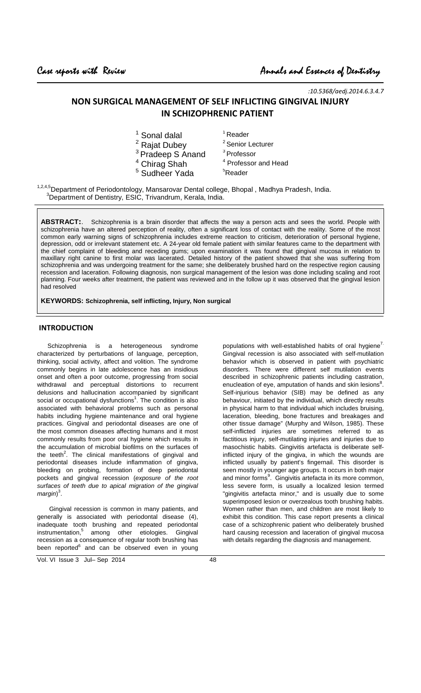-

:10.5368/aedj.2014.6.3.4.7

# NON SURGICAL MANAGEMENT OF SELF INFLICTING GINGIVAL INJURY IN SCHIZOPHRENIC PATIENT

| <sup>1</sup> Sonal dalal     | <sup>1</sup> Reader             |
|------------------------------|---------------------------------|
| <sup>2</sup> Rajat Dubey     | <sup>2</sup> Senior Lecturer    |
| <sup>3</sup> Pradeep S Anand | <sup>3</sup> Professor          |
| <sup>4</sup> Chirag Shah     | <sup>4</sup> Professor and Head |
| <sup>5</sup> Sudheer Yada    | <sup>5</sup> Reader             |
|                              |                                 |

<sup>1,2,4,5</sup>Department of Periodontology, Mansarovar Dental college, Bhopal, Madhya Pradesh, India.  $3$ Department of Dentistry, ESIC, Trivandrum, Kerala, India.

**ABSTRACT:**. Schizophrenia is a brain disorder that affects the way a person acts and sees the world. People with schizophrenia have an altered perception of reality, often a significant loss of contact with the reality. Some of the most common early warning signs of schizophrenia includes extreme reaction to criticism, deterioration of personal hygiene, depression, odd or irrelevant statement etc. A 24-year old female patient with similar features came to the department with the chief complaint of bleeding and receding gums; upon examination it was found that gingival mucosa in relation to maxillary right canine to first molar was lacerated. Detailed history of the patient showed that she was suffering from schizophrenia and was undergoing treatment for the same; she deliberately brushed hard on the respective region causing recession and laceration. Following diagnosis, non surgical management of the lesion was done including scaling and root planning. Four weeks after treatment, the patient was reviewed and in the follow up it was observed that the gingival lesion had resolved

**KEYWORDS: Schizophrenia, self inflicting, Injury, Non surgical**

## INTRODUCTION

 Schizophrenia is a heterogeneous syndrome characterized by perturbations of language, perception, thinking, social activity, affect and volition. The syndrome commonly begins in late adolescence has an insidious onset and often a poor outcome, progressing from social withdrawal and perceptual distortions to recurrent delusions and hallucination accompanied by significant social or occupational dysfunctions<sup>1</sup>. The condition is also associated with behavioral problems such as personal habits including hygiene maintenance and oral hygiene practices. Gingival and periodontal diseases are one of the most common diseases affecting humans and it most commonly results from poor oral hygiene which results in the accumulation of microbial biofilms on the surfaces of the teeth<sup>2</sup>. The clinical manifestations of gingival and periodontal diseases include inflammation of gingiva, bleeding on probing, formation of deep periodontal pockets and gingival recession (exposure of the root surfaces of teeth due to apical migration of the gingival margin)<sup>3</sup>.

 Gingival recession is common in many patients, and generally is associated with periodontal disease (4), inadequate tooth brushing and repeated periodontal  $instrumentation<sup>5</sup>$  among other etiologies. Gingival recession as a consequence of regular tooth brushing has been reported<sup>6</sup> and can be observed even in young

Vol. VI Issue 3 Jul– Sep 2014 48

populations with well-established habits of oral hygiene<sup>7.</sup> Gingival recession is also associated with self-mutilation behavior which is observed in patient with psychiatric disorders. There were different self mutilation events described in schizophrenic patients including castration, enucleation of eye, amputation of hands and skin lesions<sup>8</sup>. Self-injurious behavior (SIB) may be defined as any behaviour, initiated by the individual, which directly results in physical harm to that individual which includes bruising, laceration, bleeding, bone fractures and breakages and other tissue damage" (Murphy and Wilson, 1985). These self-inflicted injuries are sometimes referred to as factitious injury, self-mutilating injuries and injuries due to masochistic habits. Gingivitis artefacta is deliberate selfinflicted injury of the gingiva, in which the wounds are inflicted usually by patient's fingernail. This disorder is seen mostly in younger age groups. It occurs in both major and minor forms<sup>9</sup>. Gingivitis artefacta in its more common, less severe form, is usually a localized lesion termed "gingivitis artefacta minor," and is usually due to some superimposed lesion or overzealous tooth brushing habits. Women rather than men, and children are most likely to exhibit this condition. This case report presents a clinical case of a schizophrenic patient who deliberately brushed hard causing recession and laceration of gingival mucosa with details regarding the diagnosis and management.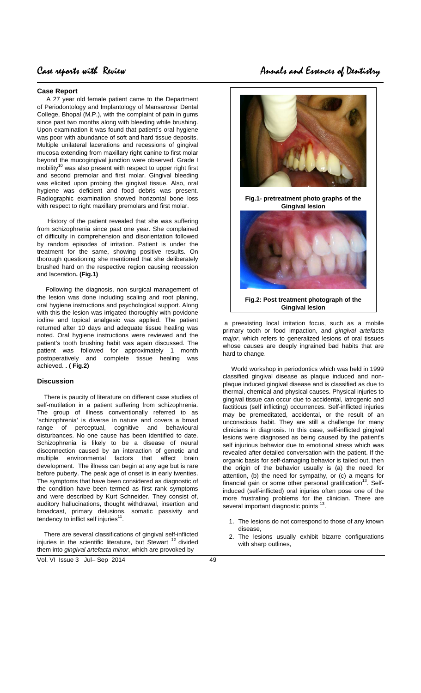## **Case Report**

-

A 27 year old female patient came to the Department of Periodontology and Implantology of Mansarovar Dental College, Bhopal (M.P.), with the complaint of pain in gums since past two months along with bleeding while brushing. Upon examination it was found that patient's oral hygiene was poor with abundance of soft and hard tissue deposits. Multiple unilateral lacerations and recessions of gingival mucosa extending from maxillary right canine to first molar beyond the mucogingival junction were observed. Grade I mobility<sup>10</sup> was also present with respect to upper right first and second premolar and first molar. Gingival bleeding was elicited upon probing the gingival tissue. Also, oral hygiene was deficient and food debris was present. Radiographic examination showed horizontal bone loss with respect to right maxillary premolars and first molar.

 History of the patient revealed that she was suffering from schizophrenia since past one year. She complained of difficulty in comprehension and disorientation followed by random episodes of irritation. Patient is under the treatment for the same, showing positive results. On thorough questioning she mentioned that she deliberately brushed hard on the respective region causing recession and laceration**. (Fig.1)**

 Following the diagnosis, non surgical management of the lesion was done including scaling and root planing, oral hygiene instructions and psychological support. Along with this the lesion was irrigated thoroughly with povidone iodine and topical analgesic was applied. The patient returned after 10 days and adequate tissue healing was noted. Oral hygiene instructions were reviewed and the patient's tooth brushing habit was again discussed. The patient was followed for approximately 1 month postoperatively and complete tissue healing was achieved. **. ( Fig.2)**

### **Discussion**

 There is paucity of literature on different case studies of self-mutilation in a patient suffering from schizophrenia. The group of illness conventionally referred to as 'schizophrenia' is diverse in nature and covers a broad range of perceptual, cognitive and behavioural disturbances. No one cause has been identified to date. Schizophrenia is likely to be a disease of neural disconnection caused by an interaction of genetic and multiple environmental factors that affect brain development. The illness can begin at any age but is rare before puberty. The peak age of onset is in early twenties. The symptoms that have been considered as diagnostic of the condition have been termed as first rank symptoms and were described by Kurt Schneider. They consist of, auditory hallucinations, thought withdrawal, insertion and broadcast, primary delusions, somatic passivity and tendency to inflict self injuries<sup>11</sup>.

 There are several classifications of gingival self-inflicted injuries in the scientific literature, but Stewart  $12$  divided them into gingival artefacta minor, which are provoked by

Vol. VI Issue 3 Jul– Sep 2014 49

# Case reports with Review Annals and Essences of Dentistry



**Fig.1- pretreatment photo graphs of the Gingival lesion** 



 a preexisting local irritation focus, such as a mobile primary tooth or food impaction, and gingival artefacta major, which refers to generalized lesions of oral tissues whose causes are deeply ingrained bad habits that are hard to change.

 World workshop in periodontics which was held in 1999 classified gingival disease as plaque induced and nonplaque induced gingival disease and is classified as due to thermal, chemical and physical causes. Physical injuries to gingival tissue can occur due to accidental, iatrogenic and factitious (self inflicting) occurrences. Self-inflicted injuries may be premeditated, accidental, or the result of an unconscious habit. They are still a challenge for many clinicians in diagnosis. In this case, self-inflicted gingival lesions were diagnosed as being caused by the patient's self injurious behavior due to emotional stress which was revealed after detailed conversation with the patient. If the organic basis for self-damaging behavior is tailed out, then the origin of the behavior usually is (a) the need for attention, (b) the need for sympathy, or (c) a means for financial gain or some other personal gratification<sup>13</sup>. Selfinduced (self-inflicted) oral injuries often pose one of the more frustrating problems for the clinician. There are several important diagnostic points <sup>13</sup>.

- 1. The lesions do not correspond to those of any known disease,
- 2. The lesions usually exhibit bizarre configurations with sharp outlines,